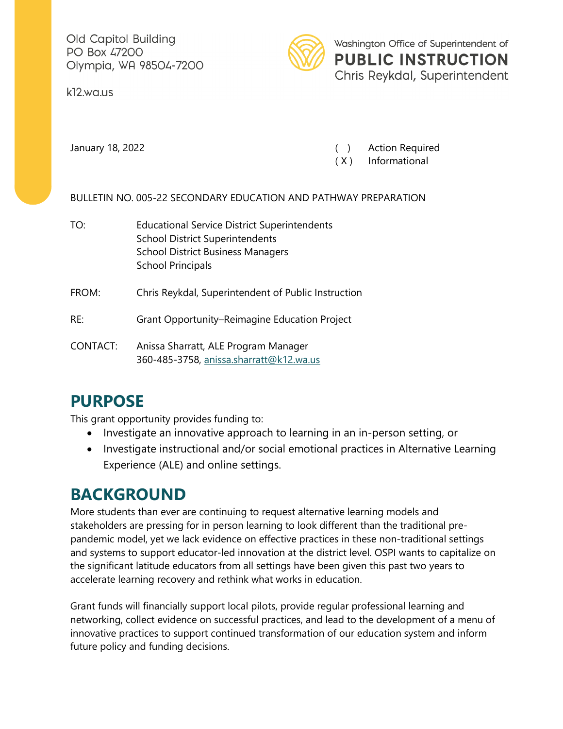Old Capitol Building PO Box 47200 Olympia, WA 98504-7200

k12.wa.us



January 18, 2022 ( ) Action Required

( X ) Informational

BULLETIN NO. 005-22 SECONDARY EDUCATION AND PATHWAY PREPARATION

TO: Educational Service District Superintendents School District Superintendents School District Business Managers School Principals

FROM: Chris Reykdal, Superintendent of Public Instruction

RE: Grant Opportunity–Reimagine Education Project

CONTACT: Anissa Sharratt, ALE Program Manager 360-485-3758, [anissa.sharratt@k12.wa.us](mailto:anissa.sharratt@k12.wa.us)

## **PURPOSE**

This grant opportunity provides funding to:

- Investigate an innovative approach to learning in an in-person setting, or
- Investigate instructional and/or social emotional practices in Alternative Learning Experience (ALE) and online settings.

## **BACKGROUND**

More students than ever are continuing to request alternative learning models and stakeholders are pressing for in person learning to look different than the traditional prepandemic model, yet we lack evidence on effective practices in these non-traditional settings and systems to support educator-led innovation at the district level. OSPI wants to capitalize on the significant latitude educators from all settings have been given this past two years to accelerate learning recovery and rethink what works in education.

Grant funds will financially support local pilots, provide regular professional learning and networking, collect evidence on successful practices, and lead to the development of a menu of innovative practices to support continued transformation of our education system and inform future policy and funding decisions.